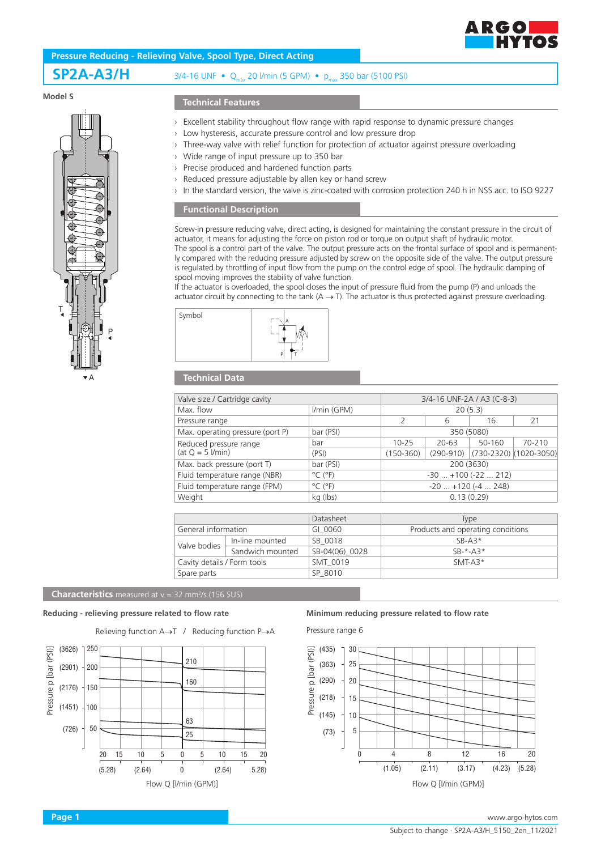

# **SP2A-A3/H** 3/4-16 UNF • Qmax 20 l/min (5 GPM) • pmax 350 bar (5100 PSI)

# **Model S**



# **Technical Features**

- › Excellent stability throughout flow range with rapid response to dynamic pressure changes
- › Low hysteresis, accurate pressure control and low pressure drop
- › Three-way valve with relief function for protection of actuator against pressure overloading
- › Wide range of input pressure up to 350 bar
- › Precise produced and hardened function parts
- Reduced pressure adjustable by allen key or hand screw
- In the standard version, the valve is zinc-coated with corrosion protection 240 h in NSS acc. to ISO 9227

## **Functional Description**

Screw-in pressure reducing valve, direct acting, is designed for maintaining the constant pressure in the circuit of actuator, it means for adjusting the force on piston rod or torque on output shaft of hydraulic motor. The spool is a control part of the valve. The output pressure acts on the frontal surface of spool and is permanently compared with the reducing pressure adjusted by screw on the opposite side of the valve. The output pressure is regulated by throttling of input flow from the pump on the control edge of spool. The hydraulic damping of spool moving improves the stability of valve function.

If the actuator is overloaded, the spool closes the input of pressure fluid from the pump (P) and unloads the actuator circuit by connecting to the tank  $(A \rightarrow T)$ . The actuator is thus protected against pressure overloading.



# **Technical Data**

| Valve size / Cartridge cavity                | 3/4-16 UNF-2A / A3 (C-8-3)   |                           |               |        |                        |
|----------------------------------------------|------------------------------|---------------------------|---------------|--------|------------------------|
| Max. flow                                    | I/min (GPM)                  | 20(5.3)                   |               |        |                        |
| Pressure range                               |                              | 2                         | 6             | 16     | 21                     |
| Max. operating pressure (port P)             | bar (PSI)                    | 350 (5080)                |               |        |                        |
| Reduced pressure range<br>(at $Q = 5$ l/min) | bar                          | $10 - 25$                 | 20-63         | 50-160 | 70-210                 |
|                                              | (PSI)                        | $(150-360)$               | $(290 - 910)$ |        | (730-2320) (1020-3050) |
| Max. back pressure (port T)                  | bar (PSI)                    | 200 (3630)                |               |        |                        |
| Fluid temperature range (NBR)                | $^{\circ}$ C ( $^{\circ}$ F) | $-30$ $+100$ ( $-22$ 212) |               |        |                        |
| Fluid temperature range (FPM)                | $^{\circ}$ C ( $^{\circ}$ F) | $-20$ $+120$ ( $-4$ 248)  |               |        |                        |
| Weight                                       | kg (lbs)                     | 0.13(0.29)                |               |        |                        |
|                                              |                              |                           |               |        |                        |

|                             |                  | Datasheet      | Type                              |
|-----------------------------|------------------|----------------|-----------------------------------|
| General information         |                  | GI 0060        | Products and operating conditions |
| Valve bodies                | In-line mounted  | SB 0018        | $SB-43*$                          |
|                             | Sandwich mounted | SB-04(06) 0028 | $SR-*-A3*$                        |
| Cavity details / Form tools |                  | SMT 0019       | $SMT-43*$                         |
| Spare parts                 |                  | SP 8010        |                                   |
|                             |                  |                |                                   |

#### **Characteristics** measured at v = 32 mm<sup>2</sup>/s (156 SUS)

# **Reducing - relieving pressure related to flow rate Minimum reducing pressure related to flow rate**

Relieving function A→T / Reducing function P→A